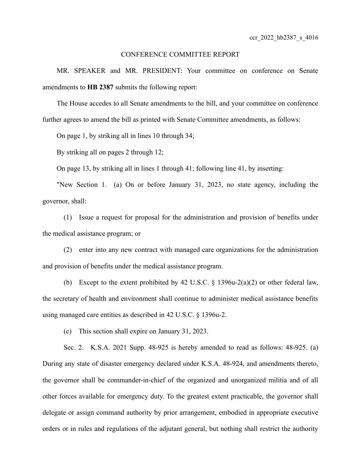## CONFERENCE COMMITTEE REPORT

MR. SPEAKER and MR. PRESIDENT: Your committee on conference on Senate amendments to **HB 2387** submits the following report:

The House accedes to all Senate amendments to the bill, and your committee on conference further agrees to amend the bill as printed with Senate Committee amendments, as follows:

On page 1, by striking all in lines 10 through 34;

By striking all on pages 2 through 12;

On page 13, by striking all in lines 1 through 41; following line 41, by inserting:

"New Section 1. (a) On or before January 31, 2023, no state agency, including the governor, shall:

(1) Issue a request for proposal for the administration and provision of benefits under the medical assistance program; or

(2) enter into any new contract with managed care organizations for the administration and provision of benefits under the medical assistance program.

(b) Except to the extent prohibited by 42 U.S.C. § 1396u-2(a)(2) or other federal law, the secretary of health and environment shall continue to administer medical assistance benefits using managed care entities as described in 42 U.S.C. § 1396u-2.

(c) This section shall expire on January 31, 2023.

Sec. 2. K.S.A. 2021 Supp. 48-925 is hereby amended to read as follows: 48-925. (a) During any state of disaster emergency declared under K.S.A. 48-924, and amendments thereto, the governor shall be commander-in-chief of the organized and unorganized militia and of all other forces available for emergency duty. To the greatest extent practicable, the governor shall delegate or assign command authority by prior arrangement, embodied in appropriate executive orders or in rules and regulations of the adjutant general, but nothing shall restrict the authority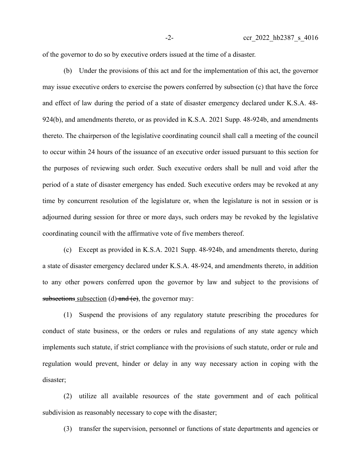of the governor to do so by executive orders issued at the time of a disaster.

(b) Under the provisions of this act and for the implementation of this act, the governor may issue executive orders to exercise the powers conferred by subsection (c) that have the force and effect of law during the period of a state of disaster emergency declared under K.S.A. 48- 924(b), and amendments thereto, or as provided in K.S.A. 2021 Supp. 48-924b, and amendments thereto. The chairperson of the legislative coordinating council shall call a meeting of the council to occur within 24 hours of the issuance of an executive order issued pursuant to this section for the purposes of reviewing such order. Such executive orders shall be null and void after the period of a state of disaster emergency has ended. Such executive orders may be revoked at any time by concurrent resolution of the legislature or, when the legislature is not in session or is adjourned during session for three or more days, such orders may be revoked by the legislative coordinating council with the affirmative vote of five members thereof.

(c) Except as provided in K.S.A. 2021 Supp. 48-924b, and amendments thereto, during a state of disaster emergency declared under K.S.A. 48-924, and amendments thereto, in addition to any other powers conferred upon the governor by law and subject to the provisions of subsections subsection (d) and  $(e)$ , the governor may:

(1) Suspend the provisions of any regulatory statute prescribing the procedures for conduct of state business, or the orders or rules and regulations of any state agency which implements such statute, if strict compliance with the provisions of such statute, order or rule and regulation would prevent, hinder or delay in any way necessary action in coping with the disaster;

(2) utilize all available resources of the state government and of each political subdivision as reasonably necessary to cope with the disaster;

(3) transfer the supervision, personnel or functions of state departments and agencies or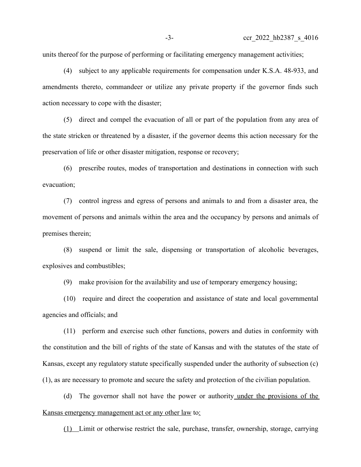units thereof for the purpose of performing or facilitating emergency management activities;

(4) subject to any applicable requirements for compensation under K.S.A. 48-933, and amendments thereto, commandeer or utilize any private property if the governor finds such action necessary to cope with the disaster;

(5) direct and compel the evacuation of all or part of the population from any area of the state stricken or threatened by a disaster, if the governor deems this action necessary for the preservation of life or other disaster mitigation, response or recovery;

(6) prescribe routes, modes of transportation and destinations in connection with such evacuation;

(7) control ingress and egress of persons and animals to and from a disaster area, the movement of persons and animals within the area and the occupancy by persons and animals of premises therein;

(8) suspend or limit the sale, dispensing or transportation of alcoholic beverages, explosives and combustibles;

(9) make provision for the availability and use of temporary emergency housing;

(10) require and direct the cooperation and assistance of state and local governmental agencies and officials; and

(11) perform and exercise such other functions, powers and duties in conformity with the constitution and the bill of rights of the state of Kansas and with the statutes of the state of Kansas, except any regulatory statute specifically suspended under the authority of subsection (c) (1), as are necessary to promote and secure the safety and protection of the civilian population.

(d) The governor shall not have the power or authority under the provisions of the Kansas emergency management act or any other law to:

(1) Limit or otherwise restrict the sale, purchase, transfer, ownership, storage, carrying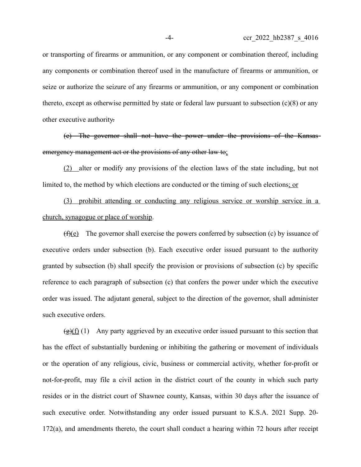or transporting of firearms or ammunition, or any component or combination thereof, including any components or combination thereof used in the manufacture of firearms or ammunition, or seize or authorize the seizure of any firearms or ammunition, or any component or combination thereto, except as otherwise permitted by state or federal law pursuant to subsection (c)(8) or any other executive authority.

(e) The governor shall not have the power under the provisions of the Kansas emergency management act or the provisions of any other law to:

(2) alter or modify any provisions of the election laws of the state including, but not limited to, the method by which elections are conducted or the timing of such elections; or

(3) prohibit attending or conducting any religious service or worship service in a church, synagogue or place of worship.

 $(f)(e)$  The governor shall exercise the powers conferred by subsection (c) by issuance of executive orders under subsection (b). Each executive order issued pursuant to the authority granted by subsection (b) shall specify the provision or provisions of subsection (c) by specific reference to each paragraph of subsection (c) that confers the power under which the executive order was issued. The adjutant general, subject to the direction of the governor, shall administer such executive orders.

 $\left(\frac{g}{g}(f)\right)(1)$  Any party aggrieved by an executive order issued pursuant to this section that has the effect of substantially burdening or inhibiting the gathering or movement of individuals or the operation of any religious, civic, business or commercial activity, whether for-profit or not-for-profit, may file a civil action in the district court of the county in which such party resides or in the district court of Shawnee county, Kansas, within 30 days after the issuance of such executive order. Notwithstanding any order issued pursuant to K.S.A. 2021 Supp. 20- 172(a), and amendments thereto, the court shall conduct a hearing within 72 hours after receipt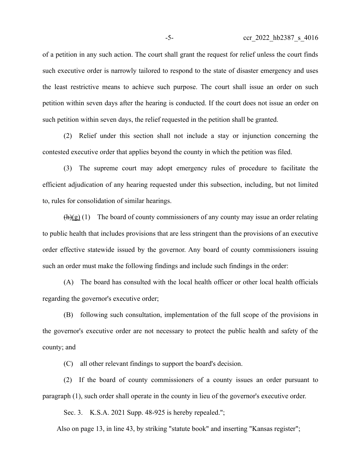of a petition in any such action. The court shall grant the request for relief unless the court finds such executive order is narrowly tailored to respond to the state of disaster emergency and uses the least restrictive means to achieve such purpose. The court shall issue an order on such petition within seven days after the hearing is conducted. If the court does not issue an order on such petition within seven days, the relief requested in the petition shall be granted.

(2) Relief under this section shall not include a stay or injunction concerning the contested executive order that applies beyond the county in which the petition was filed.

(3) The supreme court may adopt emergency rules of procedure to facilitate the efficient adjudication of any hearing requested under this subsection, including, but not limited to, rules for consolidation of similar hearings.

 $(h)(g)$  (1) The board of county commissioners of any county may issue an order relating to public health that includes provisions that are less stringent than the provisions of an executive order effective statewide issued by the governor. Any board of county commissioners issuing such an order must make the following findings and include such findings in the order:

(A) The board has consulted with the local health officer or other local health officials regarding the governor's executive order;

(B) following such consultation, implementation of the full scope of the provisions in the governor's executive order are not necessary to protect the public health and safety of the county; and

(C) all other relevant findings to support the board's decision.

(2) If the board of county commissioners of a county issues an order pursuant to paragraph (1), such order shall operate in the county in lieu of the governor's executive order.

Sec. 3. K.S.A. 2021 Supp. 48-925 is hereby repealed.";

Also on page 13, in line 43, by striking "statute book" and inserting "Kansas register";